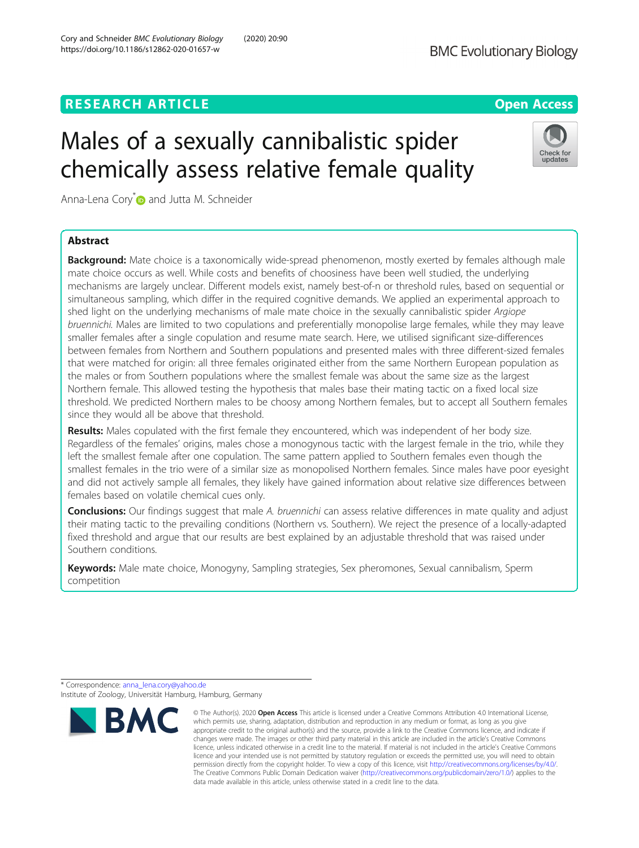# **RESEARCH ARTICLE Example 2014 CONSIDERING A RESEARCH ARTICLE**

# Males of a sexually cannibalistic spider chemically assess relative female quality

Anna-Lena Cory<sup>\*</sup> and Jutta M. Schneider

# Abstract

**Background:** Mate choice is a taxonomically wide-spread phenomenon, mostly exerted by females although male mate choice occurs as well. While costs and benefits of choosiness have been well studied, the underlying mechanisms are largely unclear. Different models exist, namely best-of-n or threshold rules, based on sequential or simultaneous sampling, which differ in the required cognitive demands. We applied an experimental approach to shed light on the underlying mechanisms of male mate choice in the sexually cannibalistic spider Argiope bruennichi. Males are limited to two copulations and preferentially monopolise large females, while they may leave smaller females after a single copulation and resume mate search. Here, we utilised significant size-differences between females from Northern and Southern populations and presented males with three different-sized females that were matched for origin: all three females originated either from the same Northern European population as the males or from Southern populations where the smallest female was about the same size as the largest Northern female. This allowed testing the hypothesis that males base their mating tactic on a fixed local size threshold. We predicted Northern males to be choosy among Northern females, but to accept all Southern females since they would all be above that threshold.

Results: Males copulated with the first female they encountered, which was independent of her body size. Regardless of the females' origins, males chose a monogynous tactic with the largest female in the trio, while they left the smallest female after one copulation. The same pattern applied to Southern females even though the smallest females in the trio were of a similar size as monopolised Northern females. Since males have poor eyesight and did not actively sample all females, they likely have gained information about relative size differences between females based on volatile chemical cues only.

**Conclusions:** Our findings suggest that male A. bruennichi can assess relative differences in mate quality and adjust their mating tactic to the prevailing conditions (Northern vs. Southern). We reject the presence of a locally-adapted fixed threshold and argue that our results are best explained by an adjustable threshold that was raised under Southern conditions.

Keywords: Male mate choice, Monogyny, Sampling strategies, Sex pheromones, Sexual cannibalism, Sperm competition

\* Correspondence: [anna\\_lena.cory@yahoo.de](mailto:anna_lena.cory@yahoo.de) Institute of Zoology, Universität Hamburg, Hamburg, Germany



<sup>©</sup> The Author(s), 2020 **Open Access** This article is licensed under a Creative Commons Attribution 4.0 International License, which permits use, sharing, adaptation, distribution and reproduction in any medium or format, as long as you give appropriate credit to the original author(s) and the source, provide a link to the Creative Commons licence, and indicate if changes were made. The images or other third party material in this article are included in the article's Creative Commons licence, unless indicated otherwise in a credit line to the material. If material is not included in the article's Creative Commons licence and your intended use is not permitted by statutory regulation or exceeds the permitted use, you will need to obtain permission directly from the copyright holder. To view a copy of this licence, visit [http://creativecommons.org/licenses/by/4.0/.](http://creativecommons.org/licenses/by/4.0/) The Creative Commons Public Domain Dedication waiver [\(http://creativecommons.org/publicdomain/zero/1.0/](http://creativecommons.org/publicdomain/zero/1.0/)) applies to the data made available in this article, unless otherwise stated in a credit line to the data.

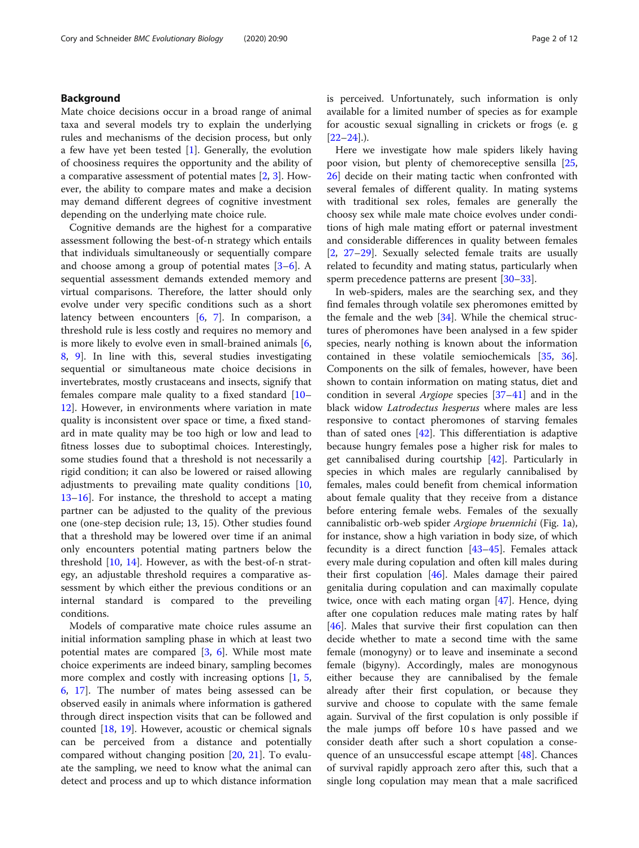# Background

Mate choice decisions occur in a broad range of animal taxa and several models try to explain the underlying rules and mechanisms of the decision process, but only a few have yet been tested [\[1](#page-9-0)]. Generally, the evolution of choosiness requires the opportunity and the ability of a comparative assessment of potential mates [\[2](#page-9-0), [3](#page-9-0)]. However, the ability to compare mates and make a decision may demand different degrees of cognitive investment depending on the underlying mate choice rule.

Cognitive demands are the highest for a comparative assessment following the best-of-n strategy which entails that individuals simultaneously or sequentially compare and choose among a group of potential mates  $[3-6]$  $[3-6]$  $[3-6]$  $[3-6]$  $[3-6]$ . A sequential assessment demands extended memory and virtual comparisons. Therefore, the latter should only evolve under very specific conditions such as a short latency between encounters [[6,](#page-9-0) [7\]](#page-9-0). In comparison, a threshold rule is less costly and requires no memory and is more likely to evolve even in small-brained animals [\[6](#page-9-0), [8,](#page-9-0) [9](#page-9-0)]. In line with this, several studies investigating sequential or simultaneous mate choice decisions in invertebrates, mostly crustaceans and insects, signify that females compare male quality to a fixed standard [[10](#page-9-0)– [12\]](#page-9-0). However, in environments where variation in mate quality is inconsistent over space or time, a fixed standard in mate quality may be too high or low and lead to fitness losses due to suboptimal choices. Interestingly, some studies found that a threshold is not necessarily a rigid condition; it can also be lowered or raised allowing adjustments to prevailing mate quality conditions [[10](#page-9-0), [13](#page-9-0)–[16](#page-9-0)]. For instance, the threshold to accept a mating partner can be adjusted to the quality of the previous one (one-step decision rule; 13, 15). Other studies found that a threshold may be lowered over time if an animal only encounters potential mating partners below the threshold [[10,](#page-9-0) [14](#page-9-0)]. However, as with the best-of-n strategy, an adjustable threshold requires a comparative assessment by which either the previous conditions or an internal standard is compared to the preveiling conditions.

Models of comparative mate choice rules assume an initial information sampling phase in which at least two potential mates are compared  $[3, 6]$  $[3, 6]$  $[3, 6]$ . While most mate choice experiments are indeed binary, sampling becomes more complex and costly with increasing options [\[1](#page-9-0), [5](#page-9-0), [6,](#page-9-0) [17](#page-10-0)]. The number of mates being assessed can be observed easily in animals where information is gathered through direct inspection visits that can be followed and counted [[18,](#page-10-0) [19](#page-10-0)]. However, acoustic or chemical signals can be perceived from a distance and potentially compared without changing position [\[20](#page-10-0), [21\]](#page-10-0). To evaluate the sampling, we need to know what the animal can detect and process and up to which distance information is perceived. Unfortunately, such information is only available for a limited number of species as for example for acoustic sexual signalling in crickets or frogs (e. g  $[22-24]$  $[22-24]$  $[22-24]$  $[22-24]$  $[22-24]$ .

Here we investigate how male spiders likely having poor vision, but plenty of chemoreceptive sensilla [[25](#page-10-0), [26\]](#page-10-0) decide on their mating tactic when confronted with several females of different quality. In mating systems with traditional sex roles, females are generally the choosy sex while male mate choice evolves under conditions of high male mating effort or paternal investment and considerable differences in quality between females [[2,](#page-9-0) [27](#page-10-0)–[29](#page-10-0)]. Sexually selected female traits are usually related to fecundity and mating status, particularly when sperm precedence patterns are present [[30](#page-10-0)–[33](#page-10-0)].

In web-spiders, males are the searching sex, and they find females through volatile sex pheromones emitted by the female and the web [[34](#page-10-0)]. While the chemical structures of pheromones have been analysed in a few spider species, nearly nothing is known about the information contained in these volatile semiochemicals [[35](#page-10-0), [36](#page-10-0)]. Components on the silk of females, however, have been shown to contain information on mating status, diet and condition in several Argiope species [[37](#page-10-0)–[41\]](#page-10-0) and in the black widow Latrodectus hesperus where males are less responsive to contact pheromones of starving females than of sated ones [[42](#page-10-0)]. This differentiation is adaptive because hungry females pose a higher risk for males to get cannibalised during courtship  $[42]$  $[42]$ . Particularly in species in which males are regularly cannibalised by females, males could benefit from chemical information about female quality that they receive from a distance before entering female webs. Females of the sexually cannibalistic orb-web spider Argiope bruennichi (Fig. [1a](#page-2-0)), for instance, show a high variation in body size, of which fecundity is a direct function [\[43](#page-10-0)–[45\]](#page-10-0). Females attack every male during copulation and often kill males during their first copulation [\[46\]](#page-10-0). Males damage their paired genitalia during copulation and can maximally copulate twice, once with each mating organ [\[47](#page-10-0)]. Hence, dying after one copulation reduces male mating rates by half [[46\]](#page-10-0). Males that survive their first copulation can then decide whether to mate a second time with the same female (monogyny) or to leave and inseminate a second female (bigyny). Accordingly, males are monogynous either because they are cannibalised by the female already after their first copulation, or because they survive and choose to copulate with the same female again. Survival of the first copulation is only possible if the male jumps off before 10 s have passed and we consider death after such a short copulation a consequence of an unsuccessful escape attempt [[48](#page-10-0)]. Chances of survival rapidly approach zero after this, such that a single long copulation may mean that a male sacrificed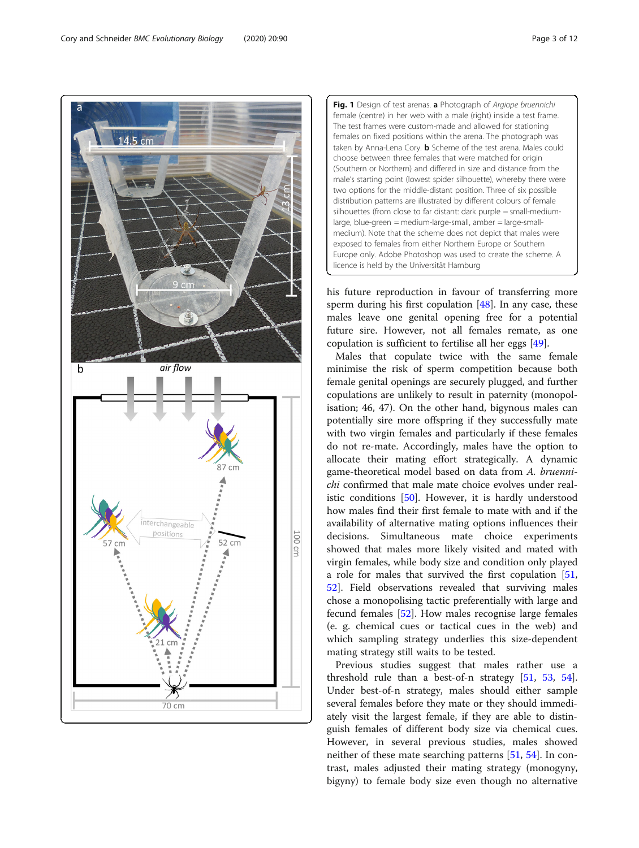his future reproduction in favour of transferring more sperm during his first copulation  $[48]$  $[48]$ . In any case, these males leave one genital opening free for a potential future sire. However, not all females remate, as one copulation is sufficient to fertilise all her eggs [\[49\]](#page-10-0).

licence is held by the Universität Hamburg

Fig. 1 Design of test arenas. a Photograph of Argiope bruennichi female (centre) in her web with a male (right) inside a test frame. The test frames were custom-made and allowed for stationing females on fixed positions within the arena. The photograph was taken by Anna-Lena Cory. **b** Scheme of the test arena. Males could choose between three females that were matched for origin (Southern or Northern) and differed in size and distance from the male's starting point (lowest spider silhouette), whereby there were two options for the middle-distant position. Three of six possible distribution patterns are illustrated by different colours of female silhouettes (from close to far distant: dark purple = small-mediumlarge, blue-green = medium-large-small, amber = large-smallmedium). Note that the scheme does not depict that males were exposed to females from either Northern Europe or Southern Europe only. Adobe Photoshop was used to create the scheme. A

Males that copulate twice with the same female minimise the risk of sperm competition because both female genital openings are securely plugged, and further copulations are unlikely to result in paternity (monopolisation; 46, 47). On the other hand, bigynous males can potentially sire more offspring if they successfully mate with two virgin females and particularly if these females do not re-mate. Accordingly, males have the option to allocate their mating effort strategically. A dynamic game-theoretical model based on data from A. bruennichi confirmed that male mate choice evolves under realistic conditions [[50\]](#page-10-0). However, it is hardly understood how males find their first female to mate with and if the availability of alternative mating options influences their decisions. Simultaneous mate choice experiments showed that males more likely visited and mated with virgin females, while body size and condition only played a role for males that survived the first copulation [[51](#page-10-0), [52\]](#page-10-0). Field observations revealed that surviving males chose a monopolising tactic preferentially with large and fecund females [\[52](#page-10-0)]. How males recognise large females (e. g. chemical cues or tactical cues in the web) and which sampling strategy underlies this size-dependent mating strategy still waits to be tested.

Previous studies suggest that males rather use a threshold rule than a best-of-n strategy [\[51,](#page-10-0) [53,](#page-10-0) [54](#page-10-0)]. Under best-of-n strategy, males should either sample several females before they mate or they should immediately visit the largest female, if they are able to distinguish females of different body size via chemical cues. However, in several previous studies, males showed neither of these mate searching patterns [\[51](#page-10-0), [54](#page-10-0)]. In contrast, males adjusted their mating strategy (monogyny, bigyny) to female body size even though no alternative

<span id="page-2-0"></span>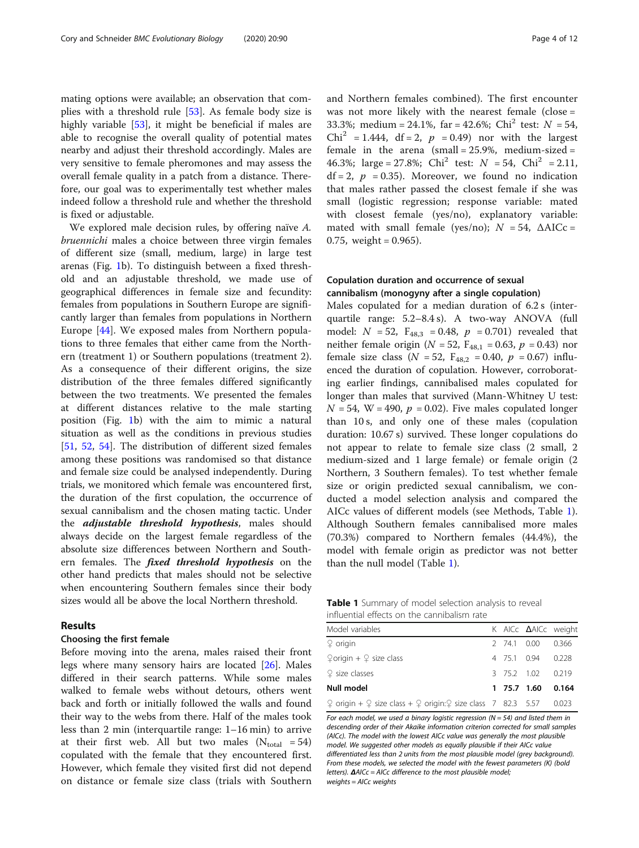mating options were available; an observation that complies with a threshold rule [[53\]](#page-10-0). As female body size is highly variable [\[53](#page-10-0)], it might be beneficial if males are able to recognise the overall quality of potential mates nearby and adjust their threshold accordingly. Males are very sensitive to female pheromones and may assess the overall female quality in a patch from a distance. Therefore, our goal was to experimentally test whether males indeed follow a threshold rule and whether the threshold is fixed or adjustable.

We explored male decision rules, by offering naïve A. bruennichi males a choice between three virgin females of different size (small, medium, large) in large test arenas (Fig. [1](#page-2-0)b). To distinguish between a fixed threshold and an adjustable threshold, we made use of geographical differences in female size and fecundity: females from populations in Southern Europe are significantly larger than females from populations in Northern Europe [[44\]](#page-10-0). We exposed males from Northern populations to three females that either came from the Northern (treatment 1) or Southern populations (treatment 2). As a consequence of their different origins, the size distribution of the three females differed significantly between the two treatments. We presented the females at different distances relative to the male starting position (Fig. [1b](#page-2-0)) with the aim to mimic a natural situation as well as the conditions in previous studies [[51,](#page-10-0) [52,](#page-10-0) [54](#page-10-0)]. The distribution of different sized females among these positions was randomised so that distance and female size could be analysed independently. During trials, we monitored which female was encountered first, the duration of the first copulation, the occurrence of sexual cannibalism and the chosen mating tactic. Under the *adjustable threshold hypothesis*, males should always decide on the largest female regardless of the absolute size differences between Northern and Southern females. The *fixed threshold hypothesis* on the other hand predicts that males should not be selective when encountering Southern females since their body sizes would all be above the local Northern threshold.

# Results

#### Choosing the first female

Before moving into the arena, males raised their front legs where many sensory hairs are located [[26](#page-10-0)]. Males differed in their search patterns. While some males walked to female webs without detours, others went back and forth or initially followed the walls and found their way to the webs from there. Half of the males took less than 2 min (interquartile range: 1–16 min) to arrive at their first web. All but two males  $(N_{total} = 54)$ copulated with the female that they encountered first. However, which female they visited first did not depend on distance or female size class (trials with Southern and Northern females combined). The first encounter was not more likely with the nearest female (close = 33.3%; medium = 24.1%, far = 42.6%; Chi<sup>2</sup> test:  $N = 54$ , Chi<sup>2</sup> = 1.444, df = 2,  $p = 0.49$  nor with the largest female in the arena (small =  $25.9%$ , medium-sized = 46.3%; large = 27.8%; Chi<sup>2</sup> test:  $N = 54$ , Chi<sup>2</sup> = 2.11,  $df = 2$ ,  $p = 0.35$ ). Moreover, we found no indication that males rather passed the closest female if she was small (logistic regression; response variable: mated with closest female (yes/no), explanatory variable: mated with small female (yes/no);  $N = 54$ ,  $\triangle$ AICc = 0.75, weight =  $0.965$ ).

# Copulation duration and occurrence of sexual cannibalism (monogyny after a single copulation)

Males copulated for a median duration of 6.2 s (interquartile range: 5.2–8.4 s). A two-way ANOVA (full model:  $N = 52$ ,  $F_{48,3} = 0.48$ ,  $p = 0.701$ ) revealed that neither female origin ( $N = 52$ ,  $F_{48,1} = 0.63$ ,  $p = 0.43$ ) nor female size class ( $N = 52$ ,  $F_{48,2} = 0.40$ ,  $p = 0.67$ ) influenced the duration of copulation. However, corroborating earlier findings, cannibalised males copulated for longer than males that survived (Mann-Whitney U test:  $N = 54$ , W = 490,  $p = 0.02$ ). Five males copulated longer than 10 s, and only one of these males (copulation duration: 10.67 s) survived. These longer copulations do not appear to relate to female size class (2 small, 2 medium-sized and 1 large female) or female origin (2 Northern, 3 Southern females). To test whether female size or origin predicted sexual cannibalism, we conducted a model selection analysis and compared the AICc values of different models (see Methods, Table 1). Although Southern females cannibalised more males (70.3%) compared to Northern females (44.4%), the model with female origin as predictor was not better than the null model (Table 1).

| <b>Table 1</b> Summary of model selection analysis to reveal |  |  |  |
|--------------------------------------------------------------|--|--|--|
| influential effects on the cannibalism rate                  |  |  |  |

| Model variables                                                                                        |  |               | K AICc <b>AAICc</b> weight |       |  |  |  |
|--------------------------------------------------------------------------------------------------------|--|---------------|----------------------------|-------|--|--|--|
| $Q$ origin                                                                                             |  | 2, 74.1, 0.00 |                            | 0.366 |  |  |  |
| $\sqrt{2}$ origin + $\sqrt{2}$ size class                                                              |  | 4 75.1 0.94   |                            | 0.228 |  |  |  |
| $\mathcal{Q}$ size classes                                                                             |  | 3 75.2 1.02   |                            | 0.219 |  |  |  |
| Null model                                                                                             |  | 1 75.7 1.60   |                            | 0.164 |  |  |  |
| $\sqrt{2}$ origin + $\sqrt{2}$ size class + $\sqrt{2}$ origin: $\sqrt{2}$ size class 7 82.3 5.57 0.023 |  |               |                            |       |  |  |  |

For each model, we used a binary logistic regression ( $N = 54$ ) and listed them in descending order of their Akaike information criterion corrected for small samples (AICc). The model with the lowest AICc value was generally the most plausible model. We suggested other models as equally plausible if their AICc value differentiated less than 2 units from the most plausible model (grey background). From these models, we selected the model with the fewest parameters (K) (bold letters).  $\Delta$ AICc = AICc difference to the most plausible model: weights = AICc weights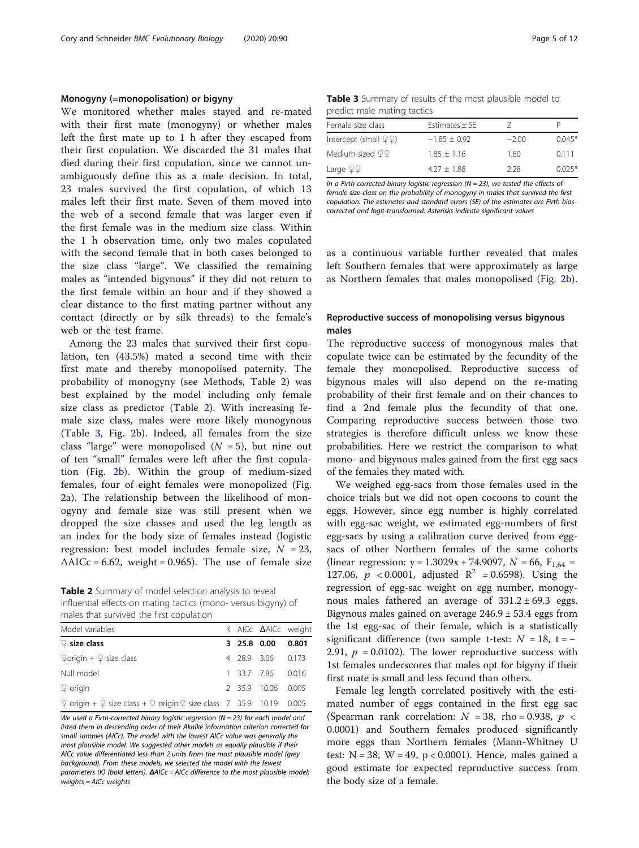# Monogyny (=monopolisation) or bigyny

We monitored whether males stayed and re-mated with their first mate (monogyny) or whether males left the first mate up to 1 h after they escaped from their first copulation. We discarded the 31 males that died during their first copulation, since we cannot unambiguously define this as a male decision. In total, 23 males survived the first copulation, of which 13 males left their first mate. Seven of them moved into the web of a second female that was larger even if the first female was in the medium size class. Within the 1 h observation time, only two males copulated with the second female that in both cases belonged to the size class "large". We classified the remaining males as "intended bigynous" if they did not return to the first female within an hour and if they showed a clear distance to the first mating partner without any contact (directly or by silk threads) to the female's web or the test frame.

Among the 23 males that survived their first copulation, ten (43.5%) mated a second time with their first mate and thereby monopolised paternity. The probability of monogyny (see Methods, Table 2) was best explained by the model including only female size class as predictor (Table 2). With increasing female size class, males were more likely monogynous (Table 3, Fig. [2b](#page-5-0)). Indeed, all females from the size class "large" were monopolised  $(N = 5)$ , but nine out of ten "small" females were left after the first copulation (Fig. [2b](#page-5-0)). Within the group of medium-sized females, four of eight females were monopolized (Fig. [2a](#page-5-0)). The relationship between the likelihood of monogyny and female size was still present when we dropped the size classes and used the leg length as an index for the body size of females instead (logistic regression: best model includes female size,  $N = 23$ ,  $\Delta AICc = 6.62$ , weight = 0.965). The use of female size

Table 2 Summary of model selection analysis to reveal influential effects on mating tactics (mono- versus bigyny) of males that survived the first copulation

| Model variables                                                                                                     |             |                    | K AICc $\Delta$ AICc weight |
|---------------------------------------------------------------------------------------------------------------------|-------------|--------------------|-----------------------------|
| $\mathcal{Q}$ size class                                                                                            | 3 25.8 0.00 |                    | 0.801                       |
| $\sqrt{2}$ origin + $\sqrt{2}$ size class                                                                           |             | 4 28.9 3.06 0.173  |                             |
| Null model                                                                                                          | 1 33.7 7.86 |                    | 0.016                       |
| $\Omega$ origin                                                                                                     |             | 2 35.9 10.06 0.005 |                             |
| $\frac{1}{2}$ origin + $\frac{1}{2}$ size class + $\frac{1}{2}$ origin: $\frac{1}{2}$ size class 7 35.9 10.19 0.005 |             |                    |                             |

We used a Firth-corrected binary logistic regression ( $N = 23$ ) for each model and listed them in descending order of their Akaike information criterion corrected for small samples (AICc). The model with the lowest AICc value was generally the most plausible model. We suggested other models as equally plausible if their AICc value differentiated less than 2 units from the most plausible model (grey background). From these models, we selected the model with the fewest parameters (K) (bold letters). ΔAICc = AICc difference to the most plausible model; weights = AICc weights

| Table 3 Summary of results of the most plausible model to |  |  |  |
|-----------------------------------------------------------|--|--|--|
| predict male mating tactics                               |  |  |  |

| Female size class                           | Estimates $\pm$ SE |         |          |
|---------------------------------------------|--------------------|---------|----------|
| Intercept (small $\mathcal{Q}(\mathcal{Q})$ | $-1.85 + 0.92$     | $-2.00$ | $0.045*$ |
| Medium-sized $\mathfrak{Q} \mathfrak{Q}$    | $1.85 + 1.16$      | 1.60    | 0.111    |
| Large $\mathfrak{Q} \mathfrak{Q}$           | $4.27 + 1.88$      | 2.28    | $0.025*$ |

In a Firth-corrected binary logistic regression ( $N = 23$ ), we tested the effects of female size class on the probability of monogyny in males that survived the first copulation. The estimates and standard errors (SE) of the estimates are Firth biascorrected and logit-transformed. Asterisks indicate significant values

as a continuous variable further revealed that males left Southern females that were approximately as large as Northern females that males monopolised (Fig. [2b](#page-5-0)).

# Reproductive success of monopolising versus bigynous males

The reproductive success of monogynous males that copulate twice can be estimated by the fecundity of the female they monopolised. Reproductive success of bigynous males will also depend on the re-mating probability of their first female and on their chances to find a 2nd female plus the fecundity of that one. Comparing reproductive success between those two strategies is therefore difficult unless we know these probabilities. Here we restrict the comparison to what mono- and bigynous males gained from the first egg sacs of the females they mated with.

We weighed egg-sacs from those females used in the choice trials but we did not open cocoons to count the eggs. However, since egg number is highly correlated with egg-sac weight, we estimated egg-numbers of first egg-sacs by using a calibration curve derived from eggsacs of other Northern females of the same cohorts (linear regression:  $y = 1.3029x + 74.9097$ ,  $N = 66$ ,  $F_{1,64} =$ 127.06,  $p \le 0.0001$ , adjusted  $R^2 = 0.6598$ ). Using the regression of egg-sac weight on egg number, monogynous males fathered an average of  $331.2 \pm 69.3$  eggs. Bigynous males gained on average  $246.9 \pm 53.4$  eggs from the 1st egg-sac of their female, which is a statistically significant difference (two sample t-test:  $N = 18$ , t = − 2.91,  $p = 0.0102$ ). The lower reproductive success with 1st females underscores that males opt for bigyny if their first mate is small and less fecund than others.

Female leg length correlated positively with the estimated number of eggs contained in the first egg sac (Spearman rank correlation:  $N = 38$ , rho = 0.938,  $p \lt$ 0.0001) and Southern females produced significantly more eggs than Northern females (Mann-Whitney U test:  $N = 38$ ,  $W = 49$ ,  $p < 0.0001$ ). Hence, males gained a good estimate for expected reproductive success from the body size of a female.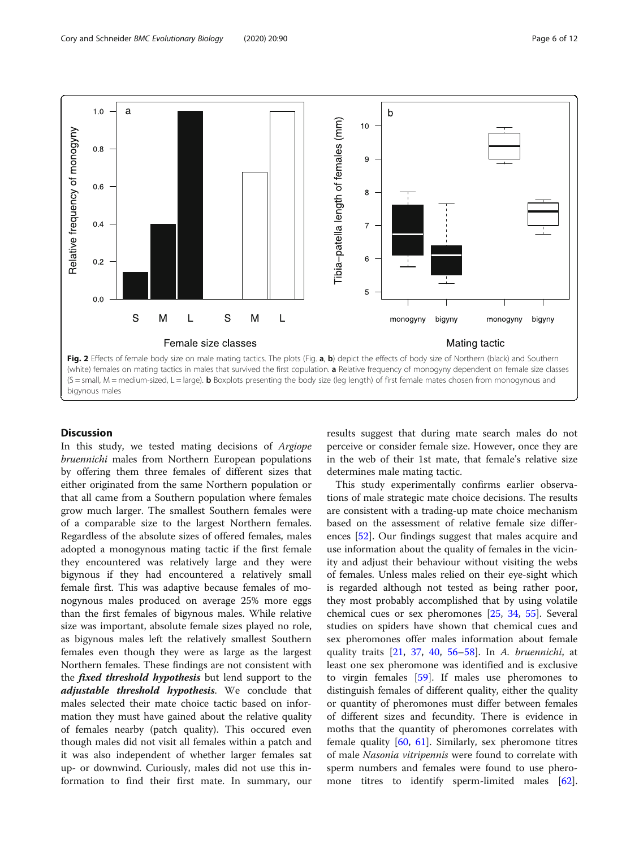<span id="page-5-0"></span>

# **Discussion**

In this study, we tested mating decisions of Argiope bruennichi males from Northern European populations by offering them three females of different sizes that either originated from the same Northern population or that all came from a Southern population where females grow much larger. The smallest Southern females were of a comparable size to the largest Northern females. Regardless of the absolute sizes of offered females, males adopted a monogynous mating tactic if the first female they encountered was relatively large and they were bigynous if they had encountered a relatively small female first. This was adaptive because females of monogynous males produced on average 25% more eggs than the first females of bigynous males. While relative size was important, absolute female sizes played no role, as bigynous males left the relatively smallest Southern females even though they were as large as the largest Northern females. These findings are not consistent with the *fixed threshold hypothesis* but lend support to the adjustable threshold hypothesis. We conclude that males selected their mate choice tactic based on information they must have gained about the relative quality of females nearby (patch quality). This occured even though males did not visit all females within a patch and it was also independent of whether larger females sat up- or downwind. Curiously, males did not use this information to find their first mate. In summary, our results suggest that during mate search males do not perceive or consider female size. However, once they are in the web of their 1st mate, that female's relative size determines male mating tactic.

This study experimentally confirms earlier observations of male strategic mate choice decisions. The results are consistent with a trading-up mate choice mechanism based on the assessment of relative female size differences [\[52\]](#page-10-0). Our findings suggest that males acquire and use information about the quality of females in the vicinity and adjust their behaviour without visiting the webs of females. Unless males relied on their eye-sight which is regarded although not tested as being rather poor, they most probably accomplished that by using volatile chemical cues or sex pheromones [[25,](#page-10-0) [34](#page-10-0), [55\]](#page-10-0). Several studies on spiders have shown that chemical cues and sex pheromones offer males information about female quality traits  $[21, 37, 40, 56-58]$  $[21, 37, 40, 56-58]$  $[21, 37, 40, 56-58]$  $[21, 37, 40, 56-58]$  $[21, 37, 40, 56-58]$  $[21, 37, 40, 56-58]$  $[21, 37, 40, 56-58]$  $[21, 37, 40, 56-58]$  $[21, 37, 40, 56-58]$ . In A. bruennichi, at least one sex pheromone was identified and is exclusive to virgin females [\[59](#page-10-0)]. If males use pheromones to distinguish females of different quality, either the quality or quantity of pheromones must differ between females of different sizes and fecundity. There is evidence in moths that the quantity of pheromones correlates with female quality [\[60,](#page-10-0) [61](#page-10-0)]. Similarly, sex pheromone titres of male Nasonia vitripennis were found to correlate with sperm numbers and females were found to use pheromone titres to identify sperm-limited males [\[62](#page-10-0)].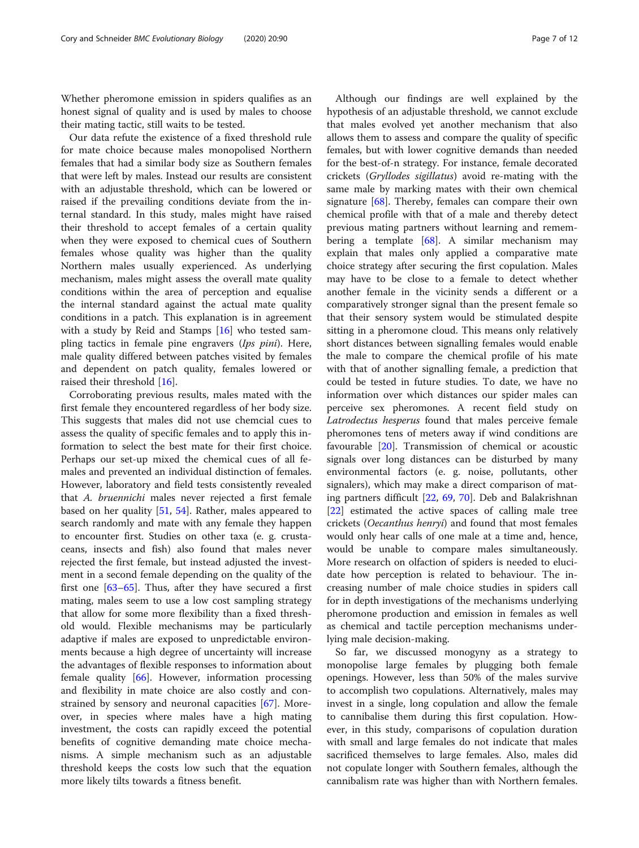Whether pheromone emission in spiders qualifies as an honest signal of quality and is used by males to choose their mating tactic, still waits to be tested.

Our data refute the existence of a fixed threshold rule for mate choice because males monopolised Northern females that had a similar body size as Southern females that were left by males. Instead our results are consistent with an adjustable threshold, which can be lowered or raised if the prevailing conditions deviate from the internal standard. In this study, males might have raised their threshold to accept females of a certain quality when they were exposed to chemical cues of Southern females whose quality was higher than the quality Northern males usually experienced. As underlying mechanism, males might assess the overall mate quality conditions within the area of perception and equalise the internal standard against the actual mate quality conditions in a patch. This explanation is in agreement with a study by Reid and Stamps [\[16](#page-9-0)] who tested sampling tactics in female pine engravers (Ips pini). Here, male quality differed between patches visited by females and dependent on patch quality, females lowered or raised their threshold [\[16](#page-9-0)].

Corroborating previous results, males mated with the first female they encountered regardless of her body size. This suggests that males did not use chemcial cues to assess the quality of specific females and to apply this information to select the best mate for their first choice. Perhaps our set-up mixed the chemical cues of all females and prevented an individual distinction of females. However, laboratory and field tests consistently revealed that A. bruennichi males never rejected a first female based on her quality [\[51](#page-10-0), [54\]](#page-10-0). Rather, males appeared to search randomly and mate with any female they happen to encounter first. Studies on other taxa (e. g. crustaceans, insects and fish) also found that males never rejected the first female, but instead adjusted the investment in a second female depending on the quality of the first one  $[63-65]$  $[63-65]$  $[63-65]$  $[63-65]$  $[63-65]$ . Thus, after they have secured a first mating, males seem to use a low cost sampling strategy that allow for some more flexibility than a fixed threshold would. Flexible mechanisms may be particularly adaptive if males are exposed to unpredictable environments because a high degree of uncertainty will increase the advantages of flexible responses to information about female quality [[66](#page-10-0)]. However, information processing and flexibility in mate choice are also costly and constrained by sensory and neuronal capacities [[67\]](#page-10-0). Moreover, in species where males have a high mating investment, the costs can rapidly exceed the potential benefits of cognitive demanding mate choice mechanisms. A simple mechanism such as an adjustable threshold keeps the costs low such that the equation more likely tilts towards a fitness benefit.

Although our findings are well explained by the hypothesis of an adjustable threshold, we cannot exclude that males evolved yet another mechanism that also allows them to assess and compare the quality of specific females, but with lower cognitive demands than needed for the best-of-n strategy. For instance, female decorated crickets (Gryllodes sigillatus) avoid re-mating with the same male by marking mates with their own chemical signature [[68\]](#page-10-0). Thereby, females can compare their own chemical profile with that of a male and thereby detect previous mating partners without learning and remembering a template [[68\]](#page-10-0). A similar mechanism may explain that males only applied a comparative mate choice strategy after securing the first copulation. Males may have to be close to a female to detect whether another female in the vicinity sends a different or a comparatively stronger signal than the present female so that their sensory system would be stimulated despite sitting in a pheromone cloud. This means only relatively short distances between signalling females would enable the male to compare the chemical profile of his mate with that of another signalling female, a prediction that could be tested in future studies. To date, we have no information over which distances our spider males can perceive sex pheromones. A recent field study on Latrodectus hesperus found that males perceive female pheromones tens of meters away if wind conditions are favourable [[20](#page-10-0)]. Transmission of chemical or acoustic signals over long distances can be disturbed by many environmental factors (e. g. noise, pollutants, other signalers), which may make a direct comparison of mating partners difficult [[22,](#page-10-0) [69](#page-10-0), [70\]](#page-10-0). Deb and Balakrishnan [[22\]](#page-10-0) estimated the active spaces of calling male tree crickets (Oecanthus henryi) and found that most females would only hear calls of one male at a time and, hence, would be unable to compare males simultaneously. More research on olfaction of spiders is needed to elucidate how perception is related to behaviour. The increasing number of male choice studies in spiders call for in depth investigations of the mechanisms underlying pheromone production and emission in females as well as chemical and tactile perception mechanisms underlying male decision-making.

So far, we discussed monogyny as a strategy to monopolise large females by plugging both female openings. However, less than 50% of the males survive to accomplish two copulations. Alternatively, males may invest in a single, long copulation and allow the female to cannibalise them during this first copulation. However, in this study, comparisons of copulation duration with small and large females do not indicate that males sacrificed themselves to large females. Also, males did not copulate longer with Southern females, although the cannibalism rate was higher than with Northern females.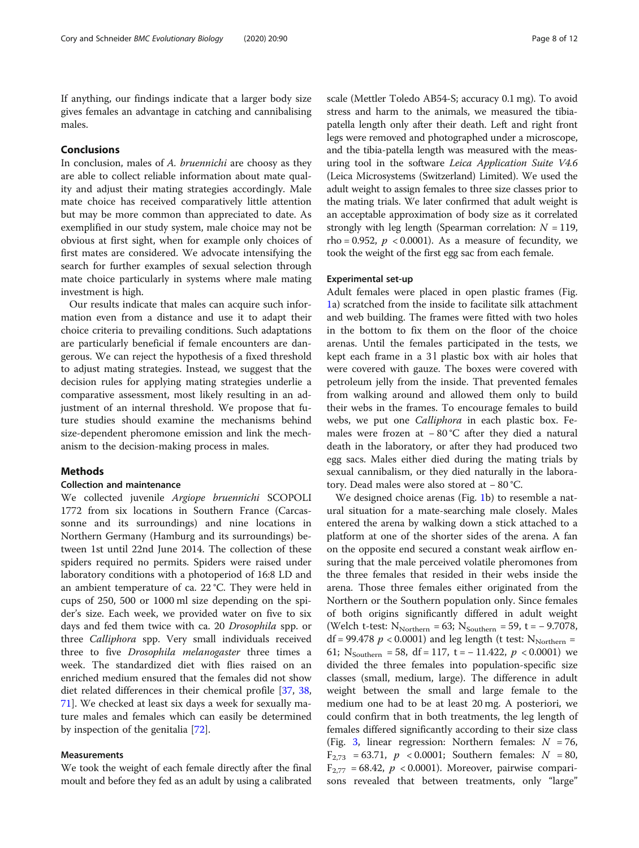If anything, our findings indicate that a larger body size gives females an advantage in catching and cannibalising males.

# Conclusions

In conclusion, males of A. bruennichi are choosy as they are able to collect reliable information about mate quality and adjust their mating strategies accordingly. Male mate choice has received comparatively little attention but may be more common than appreciated to date. As exemplified in our study system, male choice may not be obvious at first sight, when for example only choices of first mates are considered. We advocate intensifying the search for further examples of sexual selection through mate choice particularly in systems where male mating investment is high.

Our results indicate that males can acquire such information even from a distance and use it to adapt their choice criteria to prevailing conditions. Such adaptations are particularly beneficial if female encounters are dangerous. We can reject the hypothesis of a fixed threshold to adjust mating strategies. Instead, we suggest that the decision rules for applying mating strategies underlie a comparative assessment, most likely resulting in an adjustment of an internal threshold. We propose that future studies should examine the mechanisms behind size-dependent pheromone emission and link the mechanism to the decision-making process in males.

# Methods

# Collection and maintenance

We collected juvenile Argiope bruennichi SCOPOLI 1772 from six locations in Southern France (Carcassonne and its surroundings) and nine locations in Northern Germany (Hamburg and its surroundings) between 1st until 22nd June 2014. The collection of these spiders required no permits. Spiders were raised under laboratory conditions with a photoperiod of 16:8 LD and an ambient temperature of ca. 22 °C. They were held in cups of 250, 500 or 1000 ml size depending on the spider's size. Each week, we provided water on five to six days and fed them twice with ca. 20 Drosophila spp. or three Calliphora spp. Very small individuals received three to five *Drosophila melanogaster* three times a week. The standardized diet with flies raised on an enriched medium ensured that the females did not show diet related differences in their chemical profile [[37,](#page-10-0) [38](#page-10-0), [71\]](#page-10-0). We checked at least six days a week for sexually mature males and females which can easily be determined by inspection of the genitalia [\[72\]](#page-10-0).

# Measurements

We took the weight of each female directly after the final moult and before they fed as an adult by using a calibrated scale (Mettler Toledo AB54-S; accuracy 0.1 mg). To avoid stress and harm to the animals, we measured the tibiapatella length only after their death. Left and right front legs were removed and photographed under a microscope, and the tibia-patella length was measured with the measuring tool in the software Leica Application Suite V4.6 (Leica Microsystems (Switzerland) Limited). We used the adult weight to assign females to three size classes prior to the mating trials. We later confirmed that adult weight is an acceptable approximation of body size as it correlated strongly with leg length (Spearman correlation:  $N = 119$ , rho = 0.952,  $p \le 0.0001$ ). As a measure of fecundity, we took the weight of the first egg sac from each female.

# Experimental set-up

Adult females were placed in open plastic frames (Fig. [1a](#page-2-0)) scratched from the inside to facilitate silk attachment and web building. The frames were fitted with two holes in the bottom to fix them on the floor of the choice arenas. Until the females participated in the tests, we kept each frame in a 31 plastic box with air holes that were covered with gauze. The boxes were covered with petroleum jelly from the inside. That prevented females from walking around and allowed them only to build their webs in the frames. To encourage females to build webs, we put one Calliphora in each plastic box. Females were frozen at − 80 °C after they died a natural death in the laboratory, or after they had produced two egg sacs. Males either died during the mating trials by sexual cannibalism, or they died naturally in the laboratory. Dead males were also stored at − 80 °C.

We designed choice arenas (Fig. [1b](#page-2-0)) to resemble a natural situation for a mate-searching male closely. Males entered the arena by walking down a stick attached to a platform at one of the shorter sides of the arena. A fan on the opposite end secured a constant weak airflow ensuring that the male perceived volatile pheromones from the three females that resided in their webs inside the arena. Those three females either originated from the Northern or the Southern population only. Since females of both origins significantly differed in adult weight (Welch t-test:  $N_{\text{Northern}} = 63$ ;  $N_{\text{Southern}} = 59$ , t = -9.7078, df = 99.478  $p < 0.0001$ ) and leg length (t test: N<sub>Northern</sub> = 61; N<sub>Southern</sub> = 58, df = 117, t =  $-$  11.422,  $p < 0.0001$ ) we divided the three females into population-specific size classes (small, medium, large). The difference in adult weight between the small and large female to the medium one had to be at least 20 mg. A posteriori, we could confirm that in both treatments, the leg length of females differed significantly according to their size class (Fig. [3,](#page-8-0) linear regression: Northern females:  $N = 76$ ,  $F_{2,73}$  = 63.71,  $p \le 0.0001$ ; Southern females:  $N = 80$ ,  $F_{2,77} = 68.42, p < 0.0001$ ). Moreover, pairwise comparisons revealed that between treatments, only "large"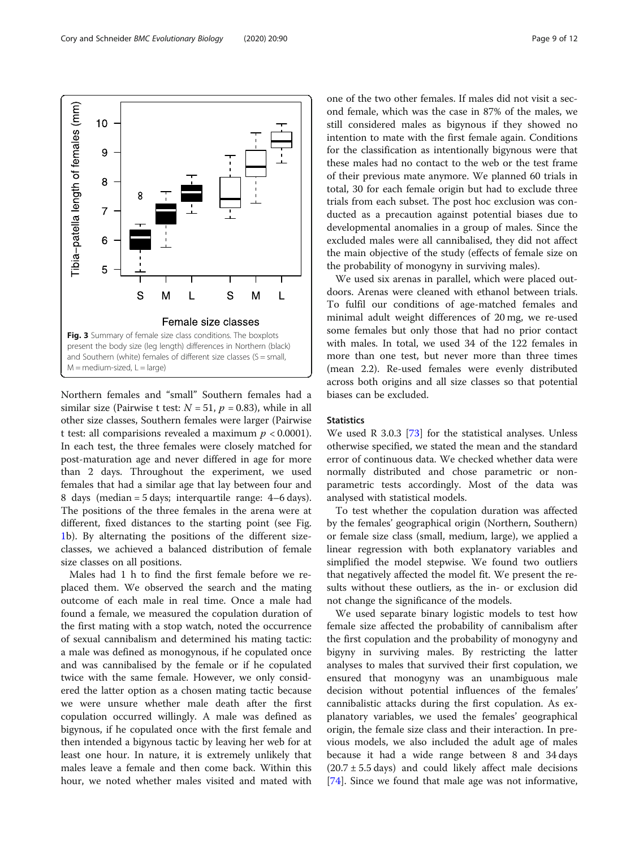<span id="page-8-0"></span>

Northern females and "small" Southern females had a similar size (Pairwise t test:  $N = 51$ ,  $p = 0.83$ ), while in all other size classes, Southern females were larger (Pairwise t test: all comparisions revealed a maximum  $p < 0.0001$ ). In each test, the three females were closely matched for post-maturation age and never differed in age for more than 2 days. Throughout the experiment, we used females that had a similar age that lay between four and 8 days (median = 5 days; interquartile range: 4–6 days). The positions of the three females in the arena were at different, fixed distances to the starting point (see Fig. [1b](#page-2-0)). By alternating the positions of the different sizeclasses, we achieved a balanced distribution of female size classes on all positions.

Males had 1 h to find the first female before we replaced them. We observed the search and the mating outcome of each male in real time. Once a male had found a female, we measured the copulation duration of the first mating with a stop watch, noted the occurrence of sexual cannibalism and determined his mating tactic: a male was defined as monogynous, if he copulated once and was cannibalised by the female or if he copulated twice with the same female. However, we only considered the latter option as a chosen mating tactic because we were unsure whether male death after the first copulation occurred willingly. A male was defined as bigynous, if he copulated once with the first female and then intended a bigynous tactic by leaving her web for at least one hour. In nature, it is extremely unlikely that males leave a female and then come back. Within this hour, we noted whether males visited and mated with

one of the two other females. If males did not visit a second female, which was the case in 87% of the males, we still considered males as bigynous if they showed no intention to mate with the first female again. Conditions for the classification as intentionally bigynous were that these males had no contact to the web or the test frame of their previous mate anymore. We planned 60 trials in total, 30 for each female origin but had to exclude three trials from each subset. The post hoc exclusion was conducted as a precaution against potential biases due to developmental anomalies in a group of males. Since the excluded males were all cannibalised, they did not affect the main objective of the study (effects of female size on the probability of monogyny in surviving males).

We used six arenas in parallel, which were placed outdoors. Arenas were cleaned with ethanol between trials. To fulfil our conditions of age-matched females and minimal adult weight differences of 20 mg, we re-used some females but only those that had no prior contact with males. In total, we used 34 of the 122 females in more than one test, but never more than three times (mean 2.2). Re-used females were evenly distributed across both origins and all size classes so that potential biases can be excluded.

# **Statistics**

We used R 3.0.3 [\[73](#page-11-0)] for the statistical analyses. Unless otherwise specified, we stated the mean and the standard error of continuous data. We checked whether data were normally distributed and chose parametric or nonparametric tests accordingly. Most of the data was analysed with statistical models.

To test whether the copulation duration was affected by the females' geographical origin (Northern, Southern) or female size class (small, medium, large), we applied a linear regression with both explanatory variables and simplified the model stepwise. We found two outliers that negatively affected the model fit. We present the results without these outliers, as the in- or exclusion did not change the significance of the models.

We used separate binary logistic models to test how female size affected the probability of cannibalism after the first copulation and the probability of monogyny and bigyny in surviving males. By restricting the latter analyses to males that survived their first copulation, we ensured that monogyny was an unambiguous male decision without potential influences of the females' cannibalistic attacks during the first copulation. As explanatory variables, we used the females' geographical origin, the female size class and their interaction. In previous models, we also included the adult age of males because it had a wide range between 8 and 34 days  $(20.7 \pm 5.5 \text{ days})$  and could likely affect male decisions [[74\]](#page-11-0). Since we found that male age was not informative,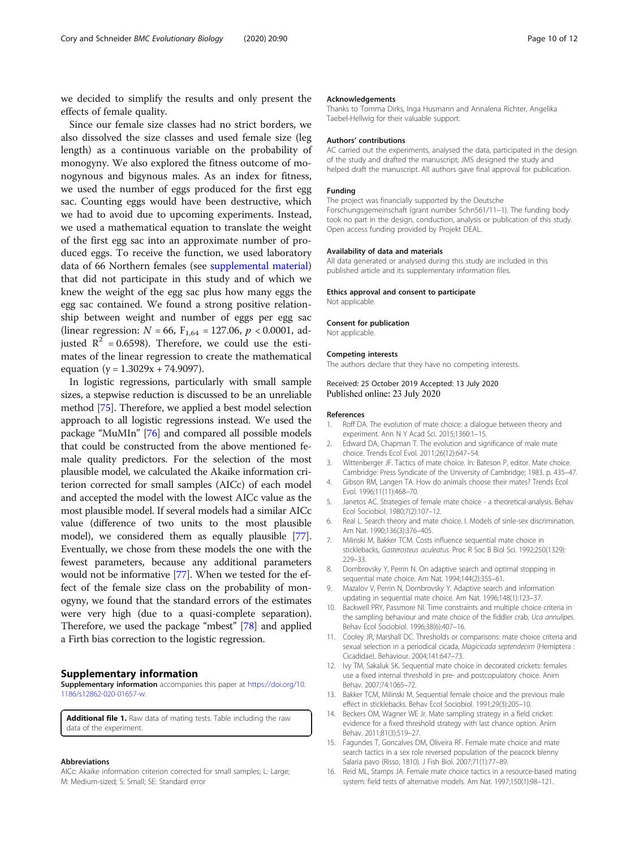<span id="page-9-0"></span>we decided to simplify the results and only present the effects of female quality.

Since our female size classes had no strict borders, we also dissolved the size classes and used female size (leg length) as a continuous variable on the probability of monogyny. We also explored the fitness outcome of monogynous and bigynous males. As an index for fitness, we used the number of eggs produced for the first egg sac. Counting eggs would have been destructive, which we had to avoid due to upcoming experiments. Instead, we used a mathematical equation to translate the weight of the first egg sac into an approximate number of produced eggs. To receive the function, we used laboratory data of 66 Northern females (see supplemental material) that did not participate in this study and of which we knew the weight of the egg sac plus how many eggs the egg sac contained. We found a strong positive relationship between weight and number of eggs per egg sac (linear regression:  $N = 66$ ,  $F_{1,64} = 127.06$ ,  $p < 0.0001$ , adjusted  $\mathbb{R}^2$  = 0.6598). Therefore, we could use the estimates of the linear regression to create the mathematical equation (y =  $1.3029x + 74.9097$ ).

In logistic regressions, particularly with small sample sizes, a stepwise reduction is discussed to be an unreliable method [\[75](#page-11-0)]. Therefore, we applied a best model selection approach to all logistic regressions instead. We used the package "MuMIn" [[76](#page-11-0)] and compared all possible models that could be constructed from the above mentioned female quality predictors. For the selection of the most plausible model, we calculated the Akaike information criterion corrected for small samples (AICc) of each model and accepted the model with the lowest AICc value as the most plausible model. If several models had a similar AICc value (difference of two units to the most plausible model), we considered them as equally plausible [[77](#page-11-0)]. Eventually, we chose from these models the one with the fewest parameters, because any additional parameters would not be informative [\[77](#page-11-0)]. When we tested for the effect of the female size class on the probability of monogyny, we found that the standard errors of the estimates were very high (due to a quasi-complete separation). Therefore, we used the package "mbest" [\[78\]](#page-11-0) and applied a Firth bias correction to the logistic regression.

## Supplementary information

Supplementary information accompanies this paper at [https://doi.org/10.](https://doi.org/10.1186/s12862-020-01657-w) [1186/s12862-020-01657-w](https://doi.org/10.1186/s12862-020-01657-w).

Additional file 1. Raw data of mating tests. Table including the raw data of the experiment.

#### Abbreviations

AICc: Akaike information criterion corrected for small samples; L: Large; M: Medium-sized; S: Small; SE: Standard error

#### Acknowledgements

Thanks to Tomma Dirks, Inga Husmann and Annalena Richter, Angelika Taebel-Hellwig for their valuable support.

#### Authors' contributions

AC carried out the experiments, analysed the data, participated in the design of the study and drafted the manuscript; JMS designed the study and helped draft the manuscript. All authors gave final approval for publication.

#### Funding

The project was financially supported by the Deutsche Forschungsgemeinschaft (grant number Schn561/11–1). The funding body took no part in the design, conduction, analysis or publication of this study. Open access funding provided by Projekt DEAL.

#### Availability of data and materials

All data generated or analysed during this study are included in this published article and its supplementary information files.

#### Ethics approval and consent to participate

Not applicable.

#### Consent for publication

Not applicable.

#### Competing interests

The authors declare that they have no competing interests.

Received: 25 October 2019 Accepted: 13 July 2020 Published online: 23 July 2020

#### References

- 1. Roff DA. The evolution of mate choice: a dialogue between theory and experiment. Ann N Y Acad Sci. 2015;1360:1–15.
- 2. Edward DA, Chapman T. The evolution and significance of male mate choice. Trends Ecol Evol. 2011;26(12):647–54.
- 3. Wittenberger JF. Tactics of mate choice. In: Bateson P, editor. Mate choice. Cambridge: Press Syndicate of the University of Cambridge; 1983. p. 435–47.
- 4. Gibson RM, Langen TA. How do animals choose their mates? Trends Ecol Evol. 1996;11(11):468–70.
- 5. Janetos AC. Strategies of female mate choice a theoretical-analysis. Behav Ecol Sociobiol. 1980;7(2):107–12.
- 6. Real L. Search theory and mate choice. I. Models of sinle-sex discrimination. Am Nat. 1990;136(3):376–405.
- 7. Milinski M, Bakker TCM. Costs influence sequential mate choice in sticklebacks, Gasterosteus aculeatus. Proc R Soc B Biol Sci. 1992;250(1329): 229–33.
- 8. Dombrovsky Y, Perrin N. On adaptive search and optimal stopping in sequential mate choice. Am Nat. 1994;144(2):355–61.
- 9. Mazalov V, Perrin N, Dombrovsky Y. Adaptive search and information updating in sequential mate choice. Am Nat. 1996;148(1):123–37.
- 10. Backwell PRY, Passmore NI. Time constraints and multiple choice criteria in the sampling behaviour and mate choice of the fiddler crab, Uca annulipes. Behav Ecol Sociobiol. 1996;38(6):407–16.
- 11. Cooley JR, Marshall DC. Thresholds or comparisons: mate choice criteria and sexual selection in a periodical cicada, Magicicada septendecim (Hemiptera : Cicadidae). Behaviour. 2004;141:647–73.
- 12. Ivy TM, Sakaluk SK. Sequential mate choice in decorated crickets: females use a fixed internal threshold in pre- and postcopulatory choice. Anim Behav. 2007;74:1065–72.
- 13. Bakker TCM, Milinski M. Sequential female choice and the previous male effect in sticklebacks. Behav Ecol Sociobiol. 1991;29(3):205–10.
- 14. Beckers OM, Wagner WE Jr. Mate sampling strategy in a field cricket: evidence for a fixed threshold strategy with last chance option. Anim Behav. 2011;81(3):519–27.
- 15. Fagundes T, Goncalves DM, Oliveira RF. Female mate choice and mate search tactics in a sex role reversed population of the peacock blenny Salaria pavo (Risso, 1810). J Fish Biol. 2007;71(1):77–89.
- 16. Reid ML, Stamps JA. Female mate choice tactics in a resource-based mating system: field tests of alternative models. Am Nat. 1997;150(1):98–121.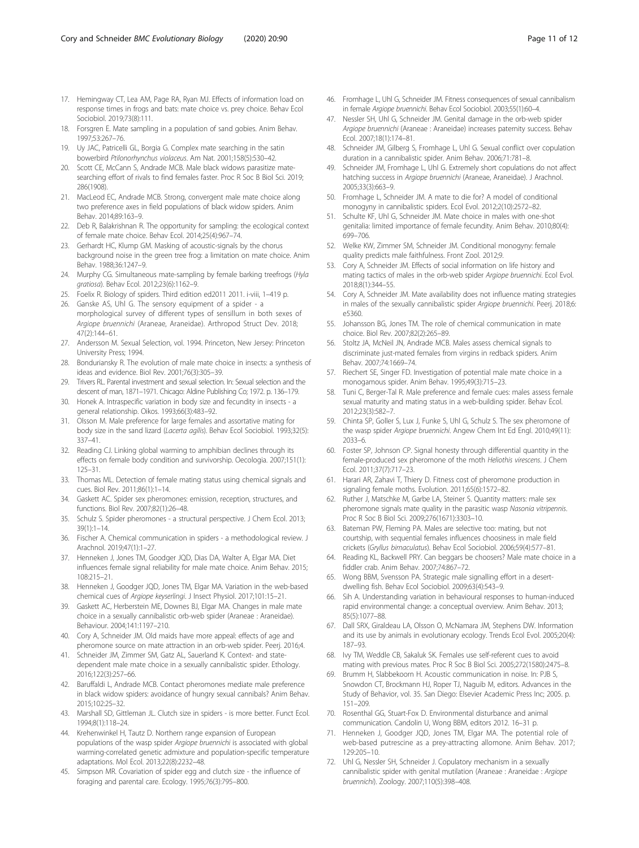- <span id="page-10-0"></span>17. Hemingway CT, Lea AM, Page RA, Ryan MJ. Effects of information load on response times in frogs and bats: mate choice vs. prey choice. Behav Ecol Sociobiol. 2019;73(8):111.
- 18. Forsgren E. Mate sampling in a population of sand gobies. Anim Behav. 1997;53:267–76.
- 19. Uy JAC, Patricelli GL, Borgia G. Complex mate searching in the satin bowerbird Ptilonorhynchus violaceus. Am Nat. 2001;158(5):530–42.
- 20. Scott CE, McCann S, Andrade MCB. Male black widows parasitize matesearching effort of rivals to find females faster. Proc R Soc B Biol Sci. 2019; 286(1908).
- 21. MacLeod EC, Andrade MCB. Strong, convergent male mate choice along two preference axes in field populations of black widow spiders. Anim Behav. 2014;89:163–9.
- 22. Deb R, Balakrishnan R. The opportunity for sampling: the ecological context of female mate choice. Behav Ecol. 2014;25(4):967–74.
- 23. Gerhardt HC, Klump GM. Masking of acoustic-signals by the chorus background noise in the green tree frog: a limitation on mate choice. Anim Behav. 1988;36:1247–9.
- 24. Murphy CG. Simultaneous mate-sampling by female barking treefrogs (Hyla gratiosa). Behav Ecol. 2012;23(6):1162–9.
- 25. Foelix R. Biology of spiders. Third edition ed2011 2011. i-viii, 1–419 p.
- 26. Ganske AS, Uhl G. The sensory equipment of a spider a morphological survey of different types of sensillum in both sexes of Argiope bruennichi (Araneae, Araneidae). Arthropod Struct Dev. 2018; 47(2):144–61.
- 27. Andersson M. Sexual Selection, vol. 1994. Princeton, New Jersey: Princeton University Press; 1994.
- 28. Bonduriansky R. The evolution of male mate choice in insects: a synthesis of ideas and evidence. Biol Rev. 2001;76(3):305–39.
- 29. Trivers RL. Parental investment and sexual selection. In: Sexual selection and the descent of man, 1871–1971. Chicago: Aldine Publishing Co; 1972. p. 136–179.
- 30. Honek A. Intraspecific variation in body size and fecundity in insects a general relationship. Oikos. 1993;66(3):483–92.
- 31. Olsson M. Male preference for large females and assortative mating for body size in the sand lizard (Lacerta agilis). Behav Ecol Sociobiol. 1993;32(5): 337–41.
- 32. Reading CJ. Linking global warming to amphibian declines through its effects on female body condition and survivorship. Oecologia. 2007;151(1): 125–31.
- 33. Thomas ML. Detection of female mating status using chemical signals and cues. Biol Rev. 2011;86(1):1–14.
- 34. Gaskett AC. Spider sex pheromones: emission, reception, structures, and functions. Biol Rev. 2007;82(1):26–48.
- 35. Schulz S. Spider pheromones a structural perspective. J Chem Ecol. 2013; 39(1):1–14.
- 36. Fischer A. Chemical communication in spiders a methodological review. J Arachnol. 2019;47(1):1–27.
- 37. Henneken J, Jones TM, Goodger JQD, Dias DA, Walter A, Elgar MA. Diet influences female signal reliability for male mate choice. Anim Behav. 2015; 108:215–21.
- 38. Henneken J, Goodger JQD, Jones TM, Elgar MA. Variation in the web-based chemical cues of Argiope keyserlingi. J Insect Physiol. 2017;101:15–21.
- 39. Gaskett AC, Herberstein ME, Downes BJ, Elgar MA. Changes in male mate choice in a sexually cannibalistic orb-web spider (Araneae : Araneidae). Behaviour. 2004;141:1197–210.
- 40. Cory A, Schneider JM. Old maids have more appeal: effects of age and pheromone source on mate attraction in an orb-web spider. Peerj. 2016;4.
- 41. Schneider JM, Zimmer SM, Gatz AL, Sauerland K. Context- and statedependent male mate choice in a sexually cannibalistic spider. Ethology. 2016;122(3):257–66.
- 42. Baruffaldi L, Andrade MCB. Contact pheromones mediate male preference in black widow spiders: avoidance of hungry sexual cannibals? Anim Behav. 2015;102:25–32.
- 43. Marshall SD, Gittleman JL. Clutch size in spiders is more better. Funct Ecol. 1994;8(1):118–24.
- 44. Krehenwinkel H, Tautz D. Northern range expansion of European populations of the wasp spider Argiope bruennichi is associated with global warming-correlated genetic admixture and population-specific temperature adaptations. Mol Ecol. 2013;22(8):2232–48.
- 45. Simpson MR. Covariation of spider egg and clutch size the influence of foraging and parental care. Ecology. 1995;76(3):795–800.
- 46. Fromhage L, Uhl G, Schneider JM. Fitness consequences of sexual cannibalism in female Argiope bruennichi. Behav Ecol Sociobiol. 2003;55(1):60–4.
- 47. Nessler SH, Uhl G, Schneider JM. Genital damage in the orb-web spider Argiope bruennichi (Araneae : Araneidae) increases paternity success. Behav Ecol. 2007;18(1):174–81.
- 48. Schneider JM, Gilberg S, Fromhage L, Uhl G. Sexual conflict over copulation duration in a cannibalistic spider. Anim Behav. 2006;71:781–8.
- 49. Schneider JM, Fromhage L, Uhl G. Extremely short copulations do not affect hatching success in Argiope bruennichi (Araneae, Araneidae). J Arachnol. 2005;33(3):663–9.
- 50. Fromhage L, Schneider JM. A mate to die for? A model of conditional monogyny in cannibalistic spiders. Ecol Evol. 2012;2(10):2572–82.
- 51. Schulte KF, Uhl G, Schneider JM. Mate choice in males with one-shot genitalia: limited importance of female fecundity. Anim Behav. 2010;80(4): 699–706.
- 52. Welke KW, Zimmer SM, Schneider JM. Conditional monogyny: female quality predicts male faithfulness. Front Zool. 2012;9.
- 53. Cory A, Schneider JM. Effects of social information on life history and mating tactics of males in the orb-web spider Argiope bruennichi. Ecol Evol. 2018;8(1):344–55.
- 54. Cory A, Schneider JM. Mate availability does not influence mating strategies in males of the sexually cannibalistic spider Argiope bruennichi. Peerj. 2018;6: e5360.
- 55. Johansson BG, Jones TM. The role of chemical communication in mate choice. Biol Rev. 2007;82(2):265–89.
- 56. Stoltz JA, McNeil JN, Andrade MCB. Males assess chemical signals to discriminate just-mated females from virgins in redback spiders. Anim Behav. 2007;74:1669–74.
- 57. Riechert SE, Singer FD. Investigation of potential male mate choice in a monogamous spider. Anim Behav. 1995;49(3):715–23.
- 58. Tuni C, Berger-Tal R. Male preference and female cues: males assess female sexual maturity and mating status in a web-building spider. Behav Ecol. 2012;23(3):582–7.
- 59. Chinta SP, Goller S, Lux J, Funke S, Uhl G, Schulz S. The sex pheromone of the wasp spider Argiope bruennichi. Angew Chem Int Ed Engl. 2010;49(11): 2033–6.
- 60. Foster SP, Johnson CP. Signal honesty through differential quantity in the female-produced sex pheromone of the moth Heliothis virescens. J Chem Ecol. 2011;37(7):717–23.
- 61. Harari AR, Zahavi T, Thiery D. Fitness cost of pheromone production in signaling female moths. Evolution. 2011;65(6):1572–82.
- 62. Ruther J, Matschke M, Garbe LA, Steiner S. Quantity matters: male sex pheromone signals mate quality in the parasitic wasp Nasonia vitripennis. Proc R Soc B Biol Sci. 2009;276(1671):3303–10.
- 63. Bateman PW, Fleming PA. Males are selective too: mating, but not courtship, with sequential females influences choosiness in male field crickets (Gryllus bimaculatus). Behav Ecol Sociobiol. 2006;59(4):577–81.
- 64. Reading KL, Backwell PRY. Can beggars be choosers? Male mate choice in a fiddler crab. Anim Behav. 2007;74:867–72.
- 65. Wong BBM, Svensson PA. Strategic male signalling effort in a desertdwelling fish. Behav Ecol Sociobiol. 2009;63(4):543–9.
- 66. Sih A. Understanding variation in behavioural responses to human-induced rapid environmental change: a conceptual overview. Anim Behav. 2013; 85(5):1077–88.
- 67. Dall SRX, Giraldeau LA, Olsson O, McNamara JM, Stephens DW. Information and its use by animals in evolutionary ecology. Trends Ecol Evol. 2005;20(4): 187–93.
- 68. Ivy TM, Weddle CB, Sakaluk SK. Females use self-referent cues to avoid mating with previous mates. Proc R Soc B Biol Sci. 2005;272(1580):2475–8.
- 69. Brumm H, Slabbekoorn H. Acoustic communication in noise. In: PJB S, Snowdon CT, Brockmann HJ, Roper TJ, Naguib M, editors. Advances in the Study of Behavior, vol. 35. San Diego: Elsevier Academic Press Inc; 2005. p. 151–209.
- 70. Rosenthal GG, Stuart-Fox D. Environmental disturbance and animal communication. Candolin U, Wong BBM, editors 2012. 16–31 p.
- 71. Henneken J, Goodger JQD, Jones TM, Elgar MA. The potential role of web-based putrescine as a prey-attracting allomone. Anim Behav. 2017; 129:205–10.
- 72. Uhl G, Nessler SH, Schneider J. Copulatory mechanism in a sexually cannibalistic spider with genital mutilation (Araneae : Araneidae : Argiope bruennichi). Zoology. 2007;110(5):398–408.